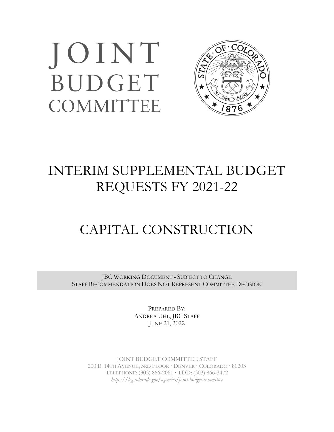# JOINT BUDGET **COMMITTEE**



## INTERIM SUPPLEMENTAL BUDGET REQUESTS FY 2021-22

## CAPITAL CONSTRUCTION

JBC WORKING DOCUMENT - SUBJECT TO CHANGE STAFF RECOMMENDATION DOES NOT REPRESENT COMMITTEE DECISION

> PREPARED BY: ANDREA UHL, JBC STAFF JUNE 21, 2022

JOINT BUDGET COMMITTEE STAFF 200 E. 14TH AVENUE, 3RD FLOOR **·** DENVER **·** COLORADO **·** 80203 TELEPHONE: (303) 866-2061 **·** TDD: (303) 866-3472 *https://leg.colorado.gov/agencies/joint-budget-committee*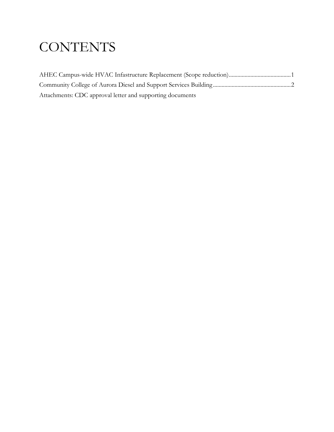## **CONTENTS**

| Attachments: CDC approval letter and supporting documents |  |
|-----------------------------------------------------------|--|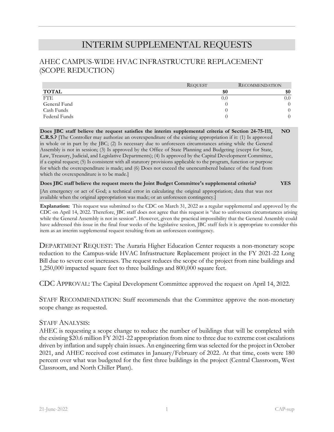### INTERIM SUPPLEMENTAL REQUESTS

#### AHEC CAMPUS-WIDE HVAC INFRASTRUCTURE REPLACEMENT (SCOPE REDUCTION)

|               | <b>REQUEST</b> | <b>RECOMMENDATION</b> |
|---------------|----------------|-----------------------|
| <b>TOTAL</b>  | \$0            | \$0                   |
| <b>FTE</b>    | 0.0            | $0.0^{\circ}$         |
| General Fund  |                | $^{(1)}$              |
| Cash Funds    |                | $^{()}$               |
| Federal Funds |                | $^{()}$               |

**Does JBC staff believe the request satisfies the interim supplemental criteria of Section 24-75-111, C.R.S.?** [The Controller may authorize an overexpenditure of the existing appropriation if it: (1) Is approved in whole or in part by the JBC; (2) Is necessary due to unforeseen circumstances arising while the General Assembly is not in session; (3) Is approved by the Office of State Planning and Budgeting (except for State, Law, Treasury, Judicial, and Legislative Departments); (4) Is approved by the Capital Development Committee, if a capital request; (5) Is consistent with all statutory provisions applicable to the program, function or purpose for which the overexpenditure is made; and (6) Does not exceed the unencumbered balance of the fund from which the overexpenditure is to be made.] **NO**

#### **Does JBC staff believe the request meets the Joint Budget Committee's supplemental criteria? YES**

[An emergency or act of God; a technical error in calculating the original appropriation; data that was not available when the original appropriation was made; or an unforeseen contingency.]

**Explanation:** This request was submitted to the CDC on March 31, 2022 as a regular supplemental and approved by the CDC on April 14, 2022. Therefore, JBC staff does not agree that this request is "due to unforeseen circumstances arising while the General Assembly is not in session". However, given the practical impossibility that the General Assembly could have addressed this issue in the final four weeks of the legislative session, JBC staff feels it is appropriate to consider this item as an interim supplemental request resulting from an unforeseen contingency.

DEPARTMENT REQUEST: The Auraria Higher Education Center requests a non-monetary scope reduction to the Campus-wide HVAC Infrastructure Replacement project in the FY 2021-22 Long Bill due to severe cost increases. The request reduces the scope of the project from nine buildings and 1,250,000 impacted square feet to three buildings and 800,000 square feet.

CDC APPROVAL: The Capital Development Committee approved the request on April 14, 2022.

STAFF RECOMMENDATION: Staff recommends that the Committee approve the non-monetary scope change as requested.

#### STAFF ANALYSIS:

AHEC is requesting a scope change to reduce the number of buildings that will be completed with the existing \$20.6 million FY 2021-22 appropriation from nine to three due to extreme cost escalations driven by inflation and supply chain issues. An engineering firm was selected for the project in October 2021, and AHEC received cost estimates in January/February of 2022. At that time, costs were 180 percent over what was budgeted for the first three buildings in the project (Central Classroom, West Classroom, and North Chiller Plant).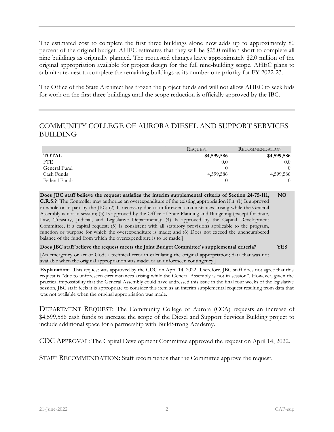The estimated cost to complete the first three buildings alone now adds up to approximately 80 percent of the original budget. AHEC estimates that they will be \$25.0 million short to complete all nine buildings as originally planned. The requested changes leave approximately \$2.0 million of the original appropriation available for project design for the full nine-building scope. AHEC plans to submit a request to complete the remaining buildings as its number one priority for FY 2022-23.

The Office of the State Architect has frozen the project funds and will not allow AHEC to seek bids for work on the first three buildings until the scope reduction is officially approved by the JBC.

### COMMUNITY COLLEGE OF AURORA DIESEL AND SUPPORT SERVICES BUILDING

|               | <b>REQUEST</b> | <b>RECOMMENDATION</b> |
|---------------|----------------|-----------------------|
| <b>TOTAL</b>  | \$4,599,586    | \$4,599,586           |
| <b>FTE</b>    | 0.0            | 0.0                   |
| General Fund  |                | $\Omega$              |
| Cash Funds    | 4,599,586      | 4,599,586             |
| Federal Funds |                | $\left($              |

**Does JBC staff believe the request satisfies the interim supplemental criteria of Section 24-75-111, C.R.S.?** [The Controller may authorize an overexpenditure of the existing appropriation if it: (1) Is approved in whole or in part by the JBC; (2) Is necessary due to unforeseen circumstances arising while the General Assembly is not in session; (3) Is approved by the Office of State Planning and Budgeting (except for State, Law, Treasury, Judicial, and Legislative Departments); (4) Is approved by the Capital Development Committee, if a capital request; (5) Is consistent with all statutory provisions applicable to the program, function or purpose for which the overexpenditure is made; and (6) Does not exceed the unencumbered balance of the fund from which the overexpenditure is to be made.] **NO**

#### **Does JBC staff believe the request meets the Joint Budget Committee's supplemental criteria? YES**

[An emergency or act of God; a technical error in calculating the original appropriation; data that was not available when the original appropriation was made; or an unforeseen contingency.]

**Explanation:** This request was approved by the CDC on April 14, 2022. Therefore, JBC staff does not agree that this request is "due to unforeseen circumstances arising while the General Assembly is not in session". However, given the practical impossibility that the General Assembly could have addressed this issue in the final four weeks of the legislative session, JBC staff feels it is appropriate to consider this item as an interim supplemental request resulting from data that was not available when the original appropriation was made.

DEPARTMENT REQUEST: The Community College of Aurora (CCA) requests an increase of \$4,599,586 cash funds to increase the scope of the Diesel and Support Services Building project to include additional space for a partnership with BuildStrong Academy.

CDC APPROVAL: The Capital Development Committee approved the request on April 14, 2022.

STAFF RECOMMENDATION: Staff recommends that the Committee approve the request.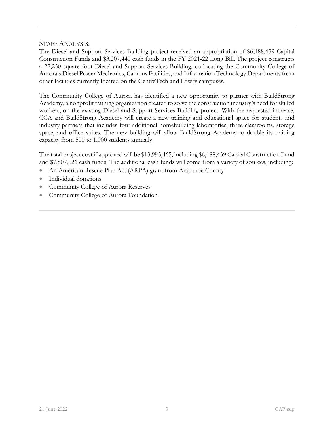#### STAFF ANALYSIS:

The Diesel and Support Services Building project received an appropriation of \$6,188,439 Capital Construction Funds and \$3,207,440 cash funds in the FY 2021-22 Long Bill. The project constructs a 22,250 square foot Diesel and Support Services Building, co-locating the Community College of Aurora's Diesel Power Mechanics, Campus Facilities, and Information Technology Departments from other facilities currently located on the CentreTech and Lowry campuses.

The Community College of Aurora has identified a new opportunity to partner with BuildStrong Academy, a nonprofit training organization created to solve the construction industry's need for skilled workers, on the existing Diesel and Support Services Building project. With the requested increase, CCA and BuildStrong Academy will create a new training and educational space for students and industry partners that includes four additional homebuilding laboratories, three classrooms, storage space, and office suites. The new building will allow BuildStrong Academy to double its training capacity from 500 to 1,000 students annually.

The total project cost if approved will be \$13,995,465, including \$6,188,439 Capital Construction Fund and \$7,807,026 cash funds. The additional cash funds will come from a variety of sources, including:

- An American Rescue Plan Act (ARPA) grant from Arapahoe County
- Individual donations
- Community College of Aurora Reserves
- Community College of Aurora Foundation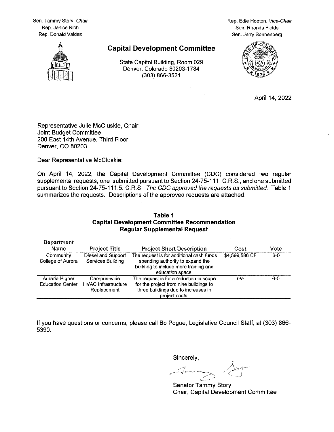Sen. Tammy Story, Chair Rep. Janice Rich Rep. Donald Valdez

Rep. Edie Hooton, Vice-Chair Sen, Rhonda Fields Sen. Jerry Sonnenberg



#### **Capital Development Committee**

State Capitol Building, Room 029 Denver, Colorado 80203-1784 (303) 866-3521

 $\alpha=1$ 



April 14, 2022

Representative Julie McCluskie, Chair Joint Budget Committee 200 East 14th Avenue, Third Floor Denver, CO 80203

Dear Representative McCluskie:

On April 14, 2022, the Capital Development Committee (CDC) considered two regular supplemental requests, one submitted pursuant to Section 24-75-111, C.R.S., and one submitted pursuant to Section 24-75-111.5, C.R.S. The CDC approved the requests as submitted. Table 1 summarizes the requests. Descriptions of the approved requests are attached.

#### Table 1 **Capital Development Committee Recommendation Regular Supplemental Request**

| Department                                |                                                          |                                                                                                                                            |                |       |
|-------------------------------------------|----------------------------------------------------------|--------------------------------------------------------------------------------------------------------------------------------------------|----------------|-------|
| Name                                      | <b>Project Title</b>                                     | <b>Project Short Description</b>                                                                                                           | Cost           | Vote  |
| <b>Community</b><br>College of Aurora     | Diesel and Support<br>Services Building                  | The request is for additional cash funds<br>spending authority to expand the<br>building to include more training and<br>education space.  | \$4,599,586 CF | $6-0$ |
| Auraria Higher<br><b>Education Center</b> | Campus-wide<br><b>HVAC</b> Infrastructure<br>Replacement | The request is for a reduction in scope<br>for the project from nine buildings to<br>three buildings due to increases in<br>project costs. | n/a            | $6-0$ |

If you have questions or concerns, please call Bo Pogue, Legislative Council Staff, at (303) 866-5390.

Sincerely,

Senator Tammy Story Chair, Capital Development Committee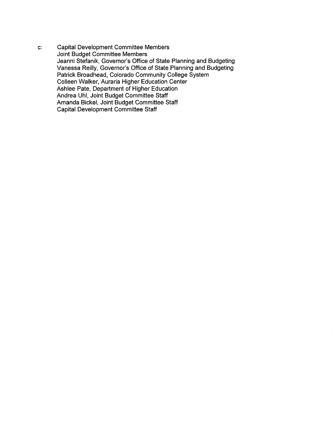**Capital Development Committee Members**  $\mathbf{c}$ : Joint Budget Committee Members Jeanni Stefanik, Governor's Office of State Planning and Budgeting Vanessa Reilly, Governor's Office of State Planning and Budgeting Patrick Broadhead, Colorado Community College System<br>Colleen Walker, Auraria Higher Education Center Ashlee Pate, Department of Higher Education Andrea Uhl, Joint Budget Committee Staff Amanda Bickel, Joint Budget Committee Staff Capital Development Committee Staff

 $\bar{z}$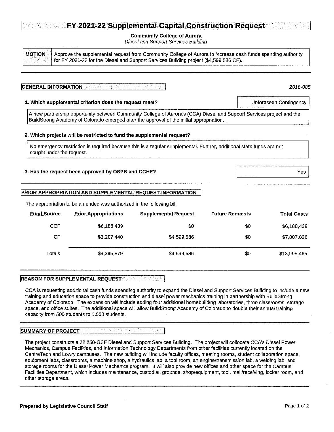#### **Community College of Aurora**

**Diesel and Support Services Building** 

**MOTION** Approve the supplemental request from Community College of Aurora to increase cash funds spending authority for FY 2021-22 for the Diesel and Support Services Building project (\$4,599,586 CF).

#### **GENERAL INFORMATION**

#### 1. Which supplemental criterion does the request meet?

A new partnership opportunity between Community College of Aurora's (CCA) Diesel and Support Services project and the BuildStrong Academy of Colorado emerged after the approval of the initial appropriation.

#### 2. Which projects will be restricted to fund the supplemental request?

No emergency restriction is required because this is a regular supplemental. Further, additional state funds are not sought under the request.

#### 3. Has the request been approved by OSPB and CCHE?

#### PRIOR APPROPRIATION AND SUPPLEMENTAL REQUEST INFORMATION

| <b>Fund Source</b> | <b>Prior Appropriations</b> | <b>Supplemental Request</b> | <b>Future Requests</b> | <b>Total Costs</b> |
|--------------------|-----------------------------|-----------------------------|------------------------|--------------------|
| <b>CCF</b>         | \$6,188,439                 | \$0                         | -50                    | \$6,188,439        |
| CF                 | \$3,207,440                 | \$4,599,586                 | \$0                    | \$7,807,026        |
| Totals             | \$9,395,879                 | \$4,599,586                 | \$0                    | \$13,995,465       |

The appropriation to be amended was authorized in the following bill:

#### **REASON FOR SUPPLEMENTAL REQUEST**

CCA is requesting additional cash funds spending authority to expand the Diesel and Support Services Building to include a new training and education space to provide construction and diesel power mechanics training in partnership with BuildStrong Academy of Colorado. The expansion will include adding four additional homebuilding laboratories, three classrooms, storage space, and office suites. The additional space will allow BuildStrong Academy of Colorado to double their annual training capacity from 500 students to 1,000 students.

#### **SUMMARY OF PROJECT**

The project constructs a 22,250-GSF Diesel and Support Services Building. The project will collocate CCA's Diesel Power Mechanics, Campus Facilities, and Information Technology Departments from other facilities currently located on the CentreTech and Lowry campuses. The new building will include faculty offices, meeting rooms, student collaboration space, equipment labs, classrooms, a machine shop, a hydraulics lab, a tool room, an engine/transmission lab, a welding lab, and storage rooms for the Diesel Power Mechanics program, It will also provide new offices and other space for the Campus Facilities Department, which includes maintenance, custodial, grounds, shop/equipment, tool, mail/receiving, locker room, and other storage areas.

2018-085

Unforeseen Contingency

Yes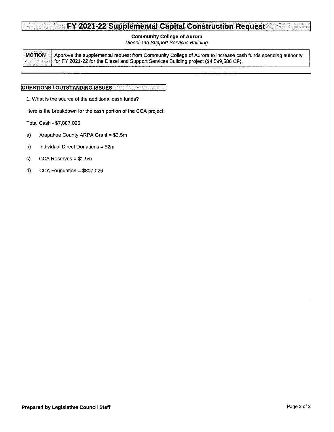#### **Community College of Aurora**

**Diesel and Support Services Building** 

**MOTION** Approve the supplemental request from Community College of Aurora to increase cash funds spending authority for FY 2021-22 for the Diesel and Support Services Building project (\$4,599,586 CF).

#### **QUESTIONS / OUTSTANDING ISSUES**

1. What is the source of the additional cash funds?

Here is the breakdown for the cash portion of the CCA project:

Total Cash - \$7,807,026

- a) Arapahoe County ARPA Grant = \$3.5m
- b) Individual Direct Donations = \$2m
- $c)$ CCA Reserves = \$1.5m
- $\mathbf{d}$ CCA Foundation =  $$807,026$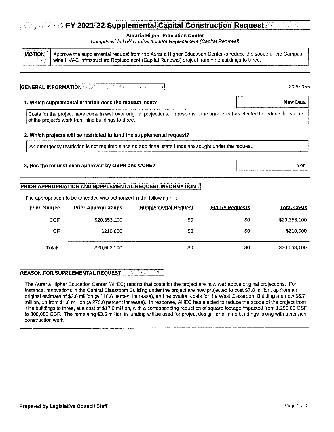#### **Auraria Higher Education Center**

Campus-wide HVAC Infrastructure Replacement (Capital Renewal)

Approve the supplemental request from the Auraria Higher Education Center to reduce the scope of the Campus-**MOTION** wide HVAC Infrastructure Replacement (Capital Renewal) project from nine buildings to three.

#### **GENERAL INFORMATION**

2020-055

New Data

#### 1. Which supplemental criterion does the request meet?

Costs for the project have come in well over original projections. In response, the university has elected to reduce the scope of the project's work from nine buildings to three.

#### 2. Which projects will be restricted to fund the supplemental request?

An emergency restriction is not required since no additional state funds are sought under the request.

#### 3. Has the request been approved by OSPB and CCHE?

#### PRIOR APPROPRIATION AND SUPPLEMENTAL REQUEST INFORMATION

The appropriation to be amended was authorized in the following bill:

| <b>Fund Source</b> | <b>Prior Appropriations</b> | <b>Supplemental Request</b> | <b>Future Requests</b> | <b>Total Costs</b> |
|--------------------|-----------------------------|-----------------------------|------------------------|--------------------|
| <b>CCF</b>         | \$20,353,100                | \$0                         | \$0                    | \$20,353,100       |
| CF                 | \$210,000                   | \$0                         | \$0                    | \$210,000          |
| Totals             | \$20,563,100                | \$0                         | \$0                    | \$20,563,100       |

#### **REASON FOR SUPPLEMENTAL REQUEST SERVICES**

The Auraria Higher Education Center (AHEC) reports that costs for the project are now well above original projections. For instance, renovations in the Central Classroom Building under the project are now projected to cost \$7.8 million, up from an original estimate of \$3.6 million (a 118.6 percent increase), and renovation costs for the West Classroom Building are now \$6.7 million, up from \$1.8 million (a 270.0 percent increase). In response, AHEC has elected to reduce the scope of the project from nine buildings to three, at a cost of \$17.0 million, with a corresponding reduction of square footage impacted from 1,250,00 GSF to 800,000 GSF. The remaining \$3.5 million in funding will be used for project design for all nine buildings, along with other nonconstruction work.

Yes